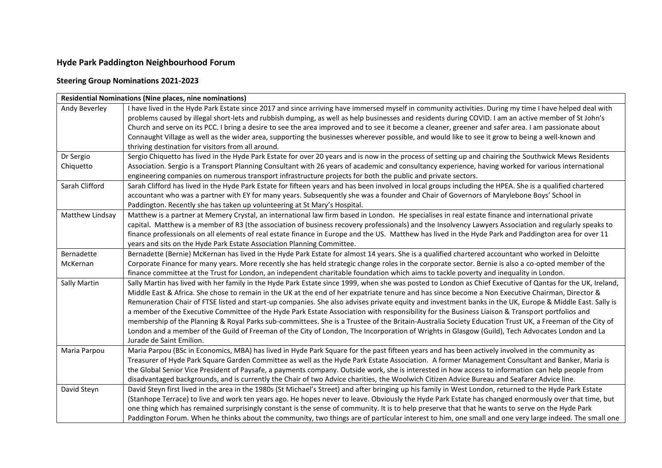## **Hyde Park Paddington Neighbourhood Forum**

## **Steering Group Nominations 2021-2023**

| <b>Residential Nominations (Nine places, nine nominations)</b> |                                                                                                                                                                                                                                                                                                                                                                                                                                                                                                                                                                                                                                                                                                                                                                                                                                                                                                                                                                           |  |
|----------------------------------------------------------------|---------------------------------------------------------------------------------------------------------------------------------------------------------------------------------------------------------------------------------------------------------------------------------------------------------------------------------------------------------------------------------------------------------------------------------------------------------------------------------------------------------------------------------------------------------------------------------------------------------------------------------------------------------------------------------------------------------------------------------------------------------------------------------------------------------------------------------------------------------------------------------------------------------------------------------------------------------------------------|--|
| Andy Beverley                                                  | I have lived in the Hyde Park Estate since 2017 and since arriving have immersed myself in community activities. During my time I have helped deal with<br>problems caused by illegal short-lets and rubbish dumping, as well as help businesses and residents during COVID. I am an active member of St John's<br>Church and serve on its PCC. I bring a desire to see the area improved and to see it become a cleaner, greener and safer area. I am passionate about<br>Connaught Village as well as the wider area, supporting the businesses wherever possible, and would like to see it grow to being a well-known and                                                                                                                                                                                                                                                                                                                                              |  |
|                                                                | thriving destination for visitors from all around.                                                                                                                                                                                                                                                                                                                                                                                                                                                                                                                                                                                                                                                                                                                                                                                                                                                                                                                        |  |
| Dr Sergio<br>Chiquetto                                         | Sergio Chiquetto has lived in the Hyde Park Estate for over 20 years and is now in the process of setting up and chairing the Southwick Mews Residents<br>Association. Sergio is a Transport Planning Consultant with 26 years of academic and consultancy experience, having worked for various international<br>engineering companies on numerous transport infrastructure projects for both the public and private sectors.                                                                                                                                                                                                                                                                                                                                                                                                                                                                                                                                            |  |
| Sarah Clifford                                                 | Sarah Clifford has lived in the Hyde Park Estate for fifteen years and has been involved in local groups including the HPEA. She is a qualified chartered<br>accountant who was a partner with EY for many years. Subsequently she was a founder and Chair of Governors of Marylebone Boys' School in<br>Paddington. Recently she has taken up volunteering at St Mary's Hospital.                                                                                                                                                                                                                                                                                                                                                                                                                                                                                                                                                                                        |  |
| Matthew Lindsay                                                | Matthew is a partner at Memery Crystal, an international law firm based in London. He specialises in real estate finance and international private<br>capital. Matthew is a member of R3 (the association of business recovery professionals) and the Insolvency Lawyers Association and regularly speaks to<br>finance professionals on all elements of real estate finance in Europe and the US. Matthew has lived in the Hyde Park and Paddington area for over 11<br>years and sits on the Hyde Park Estate Association Planning Committee.                                                                                                                                                                                                                                                                                                                                                                                                                           |  |
| Bernadette                                                     | Bernadette (Bernie) McKernan has lived in the Hyde Park Estate for almost 14 years. She is a qualified chartered accountant who worked in Deloitte                                                                                                                                                                                                                                                                                                                                                                                                                                                                                                                                                                                                                                                                                                                                                                                                                        |  |
| McKernan                                                       | Corporate Finance for many years. More recently she has held strategic change roles in the corporate sector. Bernie is also a co-opted member of the<br>finance committee at the Trust for London, an independent charitable foundation which aims to tackle poverty and inequality in London.                                                                                                                                                                                                                                                                                                                                                                                                                                                                                                                                                                                                                                                                            |  |
| <b>Sally Martin</b>                                            | Sally Martin has lived with her family in the Hyde Park Estate since 1999, when she was posted to London as Chief Executive of Qantas for the UK, Ireland,<br>Middle East & Africa. She chose to remain in the UK at the end of her expatriate tenure and has since become a Non Executive Chairman, Director &<br>Remuneration Chair of FTSE listed and start-up companies. She also advises private equity and investment banks in the UK, Europe & Middle East. Sally is<br>a member of the Executive Committee of the Hyde Park Estate Association with responsibility for the Business Liaison & Transport portfolios and<br>membership of the Planning & Royal Parks sub-committees. She is a Trustee of the Britain-Australia Society Education Trust UK, a Freeman of the City of<br>London and a member of the Guild of Freeman of the City of London, The Incorporation of Wrights in Glasgow (Guild), Tech Advocates London and La<br>Jurade de Saint Emilion. |  |
| Maria Parpou                                                   | Maria Parpou (BSc in Economics, MBA) has lived in Hyde Park Square for the past fifteen years and has been actively involved in the community as<br>Treasurer of Hyde Park Square Garden Committee as well as the Hyde Park Estate Association. A former Management Consultant and Banker, Maria is<br>the Global Senior Vice President of Paysafe, a payments company. Outside work, she is interested in how access to information can help people from<br>disadvantaged backgrounds, and is currently the Chair of two Advice charities, the Woolwich Citizen Advice Bureau and Seafarer Advice line.                                                                                                                                                                                                                                                                                                                                                                  |  |
| David Steyn                                                    | David Steyn first lived in the area in the 1980s (St Michael's Street) and after bringing up his family in West London, returned to the Hyde Park Estate<br>(Stanhope Terrace) to live and work ten years ago. He hopes never to leave. Obviously the Hyde Park Estate has changed enormously over that time, but<br>one thing which has remained surprisingly constant is the sense of community. It is to help preserve that that he wants to serve on the Hyde Park<br>Paddington Forum. When he thinks about the community, two things are of particular interest to him, one small and one very large indeed. The small one                                                                                                                                                                                                                                                                                                                                          |  |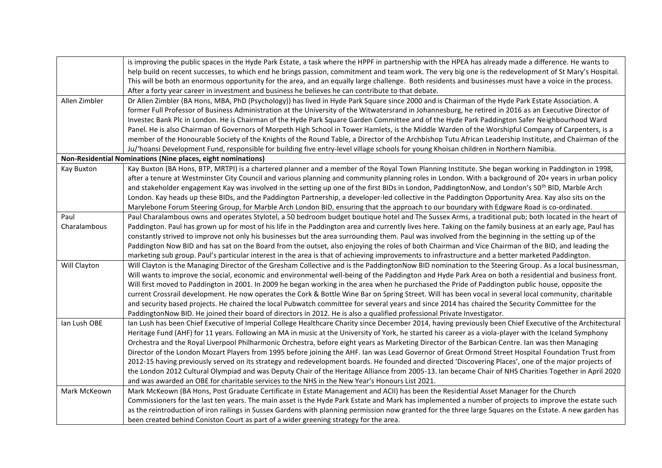|                                                              | is improving the public spaces in the Hyde Park Estate, a task where the HPPF in partnership with the HPEA has already made a difference. He wants to        |  |
|--------------------------------------------------------------|--------------------------------------------------------------------------------------------------------------------------------------------------------------|--|
|                                                              | help build on recent successes, to which end he brings passion, commitment and team work. The very big one is the redevelopment of St Mary's Hospital.       |  |
|                                                              | This will be both an enormous opportunity for the area, and an equally large challenge. Both residents and businesses must have a voice in the process.      |  |
|                                                              | After a forty year career in investment and business he believes he can contribute to that debate.                                                           |  |
| Allen Zimbler                                                | Dr Allen Zimbler (BA Hons, MBA, PhD (Psychology)) has lived in Hyde Park Square since 2000 and is Chairman of the Hyde Park Estate Association. A            |  |
|                                                              | former Full Professor of Business Administration at the University of the Witwatersrand in Johannesburg, he retired in 2016 as an Executive Director of      |  |
|                                                              | Investec Bank Plc in London. He is Chairman of the Hyde Park Square Garden Committee and of the Hyde Park Paddington Safer Neighbourhood Ward                |  |
|                                                              | Panel. He is also Chairman of Governors of Morpeth High School in Tower Hamlets, is the Middle Warden of the Worshipful Company of Carpenters, is a          |  |
|                                                              | member of the Honourable Society of the Knights of the Round Table, a Director of the Archbishop Tutu African Leadership Institute, and Chairman of the      |  |
|                                                              | Ju/'hoansi Development Fund, responsible for building five entry-level village schools for young Khoisan children in Northern Namibia.                       |  |
| Non-Residential Nominations (Nine places, eight nominations) |                                                                                                                                                              |  |
| Kay Buxton                                                   | Kay Buxton (BA Hons, BTP, MRTPI) is a chartered planner and a member of the Royal Town Planning Institute. She began working in Paddington in 1998,          |  |
|                                                              | after a tenure at Westminster City Council and various planning and community planning roles in London. With a background of 20+ years in urban policy       |  |
|                                                              | and stakeholder engagement Kay was involved in the setting up one of the first BIDs in London, PaddingtonNow, and London's 50 <sup>th</sup> BID, Marble Arch |  |
|                                                              | London. Kay heads up these BIDs, and the Paddington Partnership, a developer-led collective in the Paddington Opportunity Area. Kay also sits on the         |  |
|                                                              | Marylebone Forum Steering Group, for Marble Arch London BID, ensuring that the approach to our boundary with Edgware Road is co-ordinated.                   |  |
| Paul                                                         | Paul Charalambous owns and operates Stylotel, a 50 bedroom budget boutique hotel and The Sussex Arms, a traditional pub; both located in the heart of        |  |
| Charalambous                                                 | Paddington. Paul has grown up for most of his life in the Paddington area and currently lives here. Taking on the family business at an early age, Paul has  |  |
|                                                              | constantly strived to improve not only his businesses but the area surrounding them. Paul was involved from the beginning in the setting up of the           |  |
|                                                              | Paddington Now BID and has sat on the Board from the outset, also enjoying the roles of both Chairman and Vice Chairman of the BID, and leading the          |  |
|                                                              | marketing sub group. Paul's particular interest in the area is that of achieving improvements to infrastructure and a better marketed Paddington.            |  |
| Will Clayton                                                 | Will Clayton is the Managing Director of the Gresham Collective and is the PaddingtonNow BID nomination to the Steering Group. As a local businessman,       |  |
|                                                              | Will wants to improve the social, economic and environmental well-being of the Paddington and Hyde Park Area on both a residential and business front.       |  |
|                                                              | Will first moved to Paddington in 2001. In 2009 he began working in the area when he purchased the Pride of Paddington public house, opposite the            |  |
|                                                              | current Crossrail development. He now operates the Cork & Bottle Wine Bar on Spring Street. Will has been vocal in several local community, charitable       |  |
|                                                              | and security based projects. He chaired the local Pubwatch committee for several years and since 2014 has chaired the Security Committee for the             |  |
|                                                              | PaddingtonNow BID. He joined their board of directors in 2012. He is also a qualified professional Private Investigator.                                     |  |
| Ian Lush OBE                                                 | Ian Lush has been Chief Executive of Imperial College Healthcare Charity since December 2014, having previously been Chief Executive of the Architectural    |  |
|                                                              | Heritage Fund (AHF) for 11 years. Following an MA in music at the University of York, he started his career as a viola-player with the Iceland Symphony      |  |
|                                                              | Orchestra and the Royal Liverpool Philharmonic Orchestra, before eight years as Marketing Director of the Barbican Centre. Ian was then Managing             |  |
|                                                              | Director of the London Mozart Players from 1995 before joining the AHF. Ian was Lead Governor of Great Ormond Street Hospital Foundation Trust from          |  |
|                                                              | 2012-15 having previously served on its strategy and redevelopment boards. He founded and directed 'Discovering Places', one of the major projects of        |  |
|                                                              | the London 2012 Cultural Olympiad and was Deputy Chair of the Heritage Alliance from 2005-13. Ian became Chair of NHS Charities Together in April 2020       |  |
|                                                              | and was awarded an OBE for charitable services to the NHS in the New Year's Honours List 2021.                                                               |  |
| Mark McKeown                                                 | Mark McKeown (BA Hons, Post Graduate Certificate in Estate Management and ACII) has been the Residential Asset Manager for the Church                        |  |
|                                                              | Commissioners for the last ten years. The main asset is the Hyde Park Estate and Mark has implemented a number of projects to improve the estate such        |  |
|                                                              | as the reintroduction of iron railings in Sussex Gardens with planning permission now granted for the three large Squares on the Estate. A new garden has    |  |
|                                                              | been created behind Coniston Court as part of a wider greening strategy for the area.                                                                        |  |